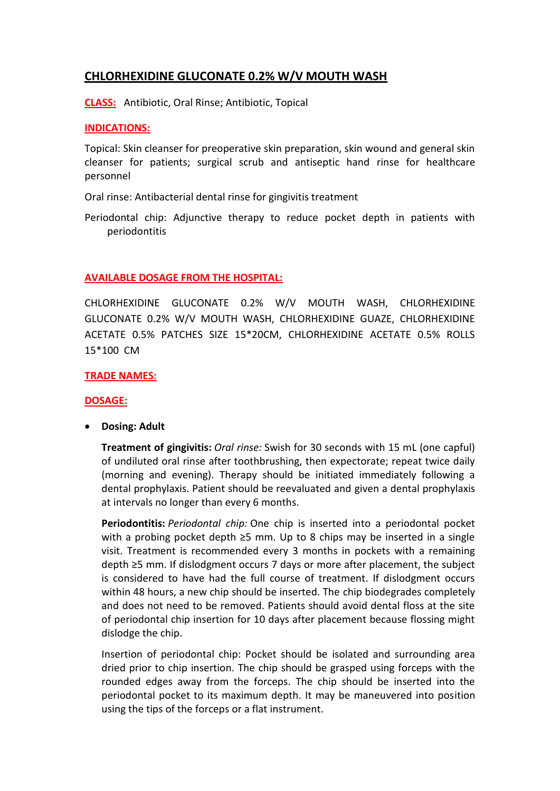# **CHLORHEXIDINE GLUCONATE 0.2% W/V MOUTH WASH**

**CLASS:** Antibiotic, Oral Rinse; Antibiotic, Topical

# **INDICATIONS:**

Topical: Skin cleanser for preoperative skin preparation, skin wound and general skin cleanser for patients; surgical scrub and antiseptic hand rinse for healthcare personnel

Oral rinse: Antibacterial dental rinse for gingivitis treatment

Periodontal chip: Adjunctive therapy to reduce pocket depth in patients with periodontitis

# **AVAILABLE DOSAGE FROM THE HOSPITAL:**

CHLORHEXIDINE GLUCONATE 0.2% W/V MOUTH WASH, CHLORHEXIDINE GLUCONATE 0.2% W/V MOUTH WASH, CHLORHEXIDINE GUAZE, CHLORHEXIDINE ACETATE 0.5% PATCHES SIZE 15\*20CM, CHLORHEXIDINE ACETATE 0.5% ROLLS 15\*100 CM

# **TRADE NAMES:**

### **DOSAGE:**

**Dosing: Adult**

**Treatment of gingivitis:** *Oral rinse:* Swish for 30 seconds with 15 mL (one capful) of undiluted oral rinse after toothbrushing, then expectorate; repeat twice daily (morning and evening). Therapy should be initiated immediately following a dental prophylaxis. Patient should be reevaluated and given a dental prophylaxis at intervals no longer than every 6 months.

**Periodontitis:** *Periodontal chip:* One chip is inserted into a periodontal pocket with a probing pocket depth  $\geq$ 5 mm. Up to 8 chips may be inserted in a single visit. Treatment is recommended every 3 months in pockets with a remaining depth ≥5 mm. If dislodgment occurs 7 days or more after placement, the subject is considered to have had the full course of treatment. If dislodgment occurs within 48 hours, a new chip should be inserted. The chip biodegrades completely and does not need to be removed. Patients should avoid dental floss at the site of periodontal chip insertion for 10 days after placement because flossing might dislodge the chip.

Insertion of periodontal chip: Pocket should be isolated and surrounding area dried prior to chip insertion. The chip should be grasped using forceps with the rounded edges away from the forceps. The chip should be inserted into the periodontal pocket to its maximum depth. It may be maneuvered into position using the tips of the forceps or a flat instrument.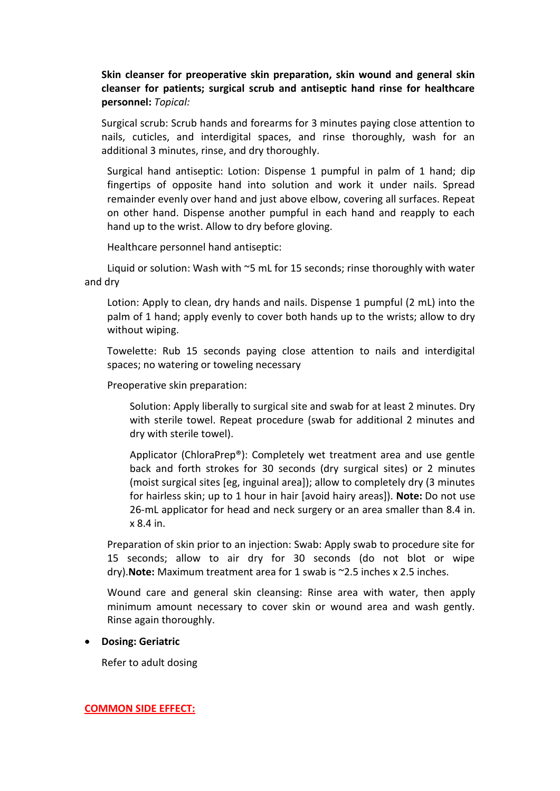**Skin cleanser for preoperative skin preparation, skin wound and general skin cleanser for patients; surgical scrub and antiseptic hand rinse for healthcare personnel:** *Topical:*

Surgical scrub: Scrub hands and forearms for 3 minutes paying close attention to nails, cuticles, and interdigital spaces, and rinse thoroughly, wash for an additional 3 minutes, rinse, and dry thoroughly.

Surgical hand antiseptic: Lotion: Dispense 1 pumpful in palm of 1 hand; dip fingertips of opposite hand into solution and work it under nails. Spread remainder evenly over hand and just above elbow, covering all surfaces. Repeat on other hand. Dispense another pumpful in each hand and reapply to each hand up to the wrist. Allow to dry before gloving.

Healthcare personnel hand antiseptic:

Liquid or solution: Wash with ~5 mL for 15 seconds; rinse thoroughly with water and dry

Lotion: Apply to clean, dry hands and nails. Dispense 1 pumpful (2 mL) into the palm of 1 hand; apply evenly to cover both hands up to the wrists; allow to dry without wiping.

Towelette: Rub 15 seconds paying close attention to nails and interdigital spaces; no watering or toweling necessary

Preoperative skin preparation:

Solution: Apply liberally to surgical site and swab for at least 2 minutes. Dry with sterile towel. Repeat procedure (swab for additional 2 minutes and dry with sterile towel).

Applicator (ChloraPrep®): Completely wet treatment area and use gentle back and forth strokes for 30 seconds (dry surgical sites) or 2 minutes (moist surgical sites [eg, inguinal area]); allow to completely dry (3 minutes for hairless skin; up to 1 hour in hair [avoid hairy areas]). **Note:** Do not use 26-mL applicator for head and neck surgery or an area smaller than 8.4 in. x 8.4 in.

Preparation of skin prior to an injection: Swab: Apply swab to procedure site for 15 seconds; allow to air dry for 30 seconds (do not blot or wipe dry).**Note:** Maximum treatment area for 1 swab is ~2.5 inches x 2.5 inches.

Wound care and general skin cleansing: Rinse area with water, then apply minimum amount necessary to cover skin or wound area and wash gently. Rinse again thoroughly.

### **Dosing: Geriatric**

Refer to adult dosing